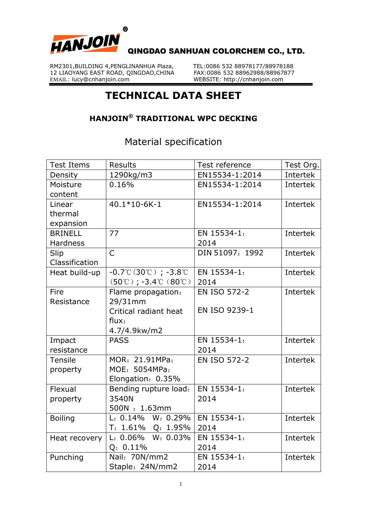

RM2301,BUILDING 4, PENGLINANHUA Plaza, TEL:0086 532 88978177/88978188<br>12 LIAOYANG EAST ROAD, OINGDAO,CHINA FAX:0086 532 88962988/88967877 12 LIAOYANG EAST ROAD, QINGDAO, CHINA<br>EMAIL: lucy@cnhanjoin.com

WEBSITE: http://cnhanjoin.com

## **TECHNICAL DATA SHEET**

## **HANJOIN® TRADITIONAL WPC DECKING**

Material specification

| <b>Test Items</b> | <b>Results</b>                                                          | Test reference      | Test Org.       |
|-------------------|-------------------------------------------------------------------------|---------------------|-----------------|
| Density           | 1290kg/m3                                                               | EN15534-1:2014      | Intertek        |
| Moisture          | 0.16%                                                                   | EN15534-1:2014      | Intertek        |
| content           |                                                                         |                     |                 |
| Linear            | 40.1*10-6K-1                                                            | EN15534-1:2014      | Intertek        |
| thermal           |                                                                         |                     |                 |
| expansion         |                                                                         |                     |                 |
| <b>BRINELL</b>    | 77                                                                      | EN 15534-1:         | Intertek        |
| <b>Hardness</b>   |                                                                         | 2014                |                 |
| Slip              | $\overline{C}$                                                          | DIN 51097: 1992     | <b>Intertek</b> |
| Classification    |                                                                         |                     |                 |
| Heat build-up     | $-0.7^{\circ}C(30^{\circ}C)$ ; $-3.8^{\circ}C$                          | EN 15534-1:         | Intertek        |
|                   | $(50^{\circ}\text{C})$ ; -3.4 $^{\circ}\text{C}$ $(80^{\circ}\text{C})$ | 2014                |                 |
| Fire              | Flame propagation:                                                      | <b>EN ISO 572-2</b> | Intertek        |
| Resistance        | 29/31mm                                                                 |                     |                 |
|                   | Critical radiant heat                                                   | EN ISO 9239-1       |                 |
|                   | flux:                                                                   |                     |                 |
|                   | 4.7/4.9kw/m2                                                            |                     |                 |
| Impact            | <b>PASS</b>                                                             | EN 15534-1:         | Intertek        |
| resistance        |                                                                         | 2014                |                 |
| <b>Tensile</b>    | MOR: 21.91MPa;                                                          | <b>EN ISO 572-2</b> | Intertek        |
| property          | MOE: 5054MPa;                                                           |                     |                 |
|                   | Elongation: 0.35%                                                       |                     |                 |
| Flexual           | Bending rupture load:                                                   | EN 15534-1:         | Intertek        |
| property          | 3540N                                                                   | 2014                |                 |
|                   | 500N: 1.63mm                                                            |                     |                 |
| <b>Boiling</b>    | L: 0.14% W: 0.29%                                                       | EN 15534-1:         | Intertek        |
|                   | T: 1.61% Q: 1.95%                                                       | 2014                |                 |
| Heat recovery     | $L: 0.06\%$<br>$W: 0.03\%$                                              | EN 15534-1:         | Intertek        |
|                   | $Q: 0.11\%$                                                             | 2014                |                 |
| Punching          | Nail: 70N/mm2                                                           | EN 15534-1:         | Intertek        |
|                   | Staple: 24N/mm2                                                         | 2014                |                 |